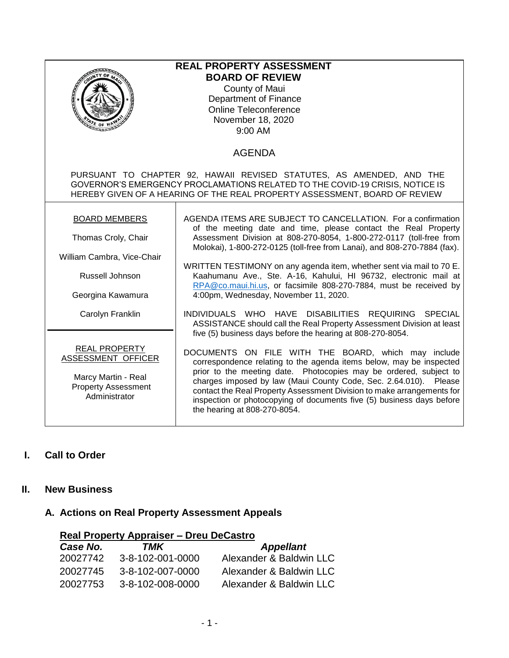| <b>REAL PROPERTY ASSESSMENT</b><br><b>BOARD OF REVIEW</b><br>County of Maui<br><b>Department of Finance</b><br><b>Online Teleconference</b><br>November 18, 2020<br>€ OF<br>9:00 AM                                                |                                                                                                                                                                                                                                                                                                                                                                                                                                                                                                                                                                                                    |  |  |
|------------------------------------------------------------------------------------------------------------------------------------------------------------------------------------------------------------------------------------|----------------------------------------------------------------------------------------------------------------------------------------------------------------------------------------------------------------------------------------------------------------------------------------------------------------------------------------------------------------------------------------------------------------------------------------------------------------------------------------------------------------------------------------------------------------------------------------------------|--|--|
|                                                                                                                                                                                                                                    | <b>AGENDA</b>                                                                                                                                                                                                                                                                                                                                                                                                                                                                                                                                                                                      |  |  |
| PURSUANT TO CHAPTER 92, HAWAII REVISED STATUTES, AS AMENDED, AND THE<br>GOVERNOR'S EMERGENCY PROCLAMATIONS RELATED TO THE COVID-19 CRISIS, NOTICE IS<br>HEREBY GIVEN OF A HEARING OF THE REAL PROPERTY ASSESSMENT, BOARD OF REVIEW |                                                                                                                                                                                                                                                                                                                                                                                                                                                                                                                                                                                                    |  |  |
| <b>BOARD MEMBERS</b><br>Thomas Croly, Chair<br>William Cambra, Vice-Chair<br><b>Russell Johnson</b><br>Georgina Kawamura<br>Carolyn Franklin                                                                                       | AGENDA ITEMS ARE SUBJECT TO CANCELLATION. For a confirmation<br>of the meeting date and time, please contact the Real Property<br>Assessment Division at 808-270-8054, 1-800-272-0117 (toll-free from<br>Molokai), 1-800-272-0125 (toll-free from Lanai), and 808-270-7884 (fax).<br>WRITTEN TESTIMONY on any agenda item, whether sent via mail to 70 E.<br>Kaahumanu Ave., Ste. A-16, Kahului, HI 96732, electronic mail at<br>RPA@co.maui.hi.us, or facsimile 808-270-7884, must be received by<br>4:00pm, Wednesday, November 11, 2020.<br>INDIVIDUALS WHO HAVE DISABILITIES REQUIRING SPECIAL |  |  |
| <b>REAL PROPERTY</b><br>ASSESSMENT OFFICER<br>Marcy Martin - Real<br><b>Property Assessment</b><br>Administrator                                                                                                                   | ASSISTANCE should call the Real Property Assessment Division at least<br>five (5) business days before the hearing at 808-270-8054.<br>DOCUMENTS ON FILE WITH THE BOARD, which may include<br>correspondence relating to the agenda items below, may be inspected<br>prior to the meeting date. Photocopies may be ordered, subject to<br>charges imposed by law (Maui County Code, Sec. 2.64.010). Please<br>contact the Real Property Assessment Division to make arrangements for<br>inspection or photocopying of documents five (5) business days before<br>the hearing at 808-270-8054.      |  |  |

# **I. Call to Order**

### **II. New Business**

### **A. Actions on Real Property Assessment Appeals**

| <b>Real Property Appraiser – Dreu DeCastro</b> |                  |                         |  |
|------------------------------------------------|------------------|-------------------------|--|
| Case No.                                       | TMK              | <b>Appellant</b>        |  |
| 20027742                                       | 3-8-102-001-0000 | Alexander & Baldwin LLC |  |
| 20027745                                       | 3-8-102-007-0000 | Alexander & Baldwin LLC |  |
| 20027753                                       | 3-8-102-008-0000 | Alexander & Baldwin LLC |  |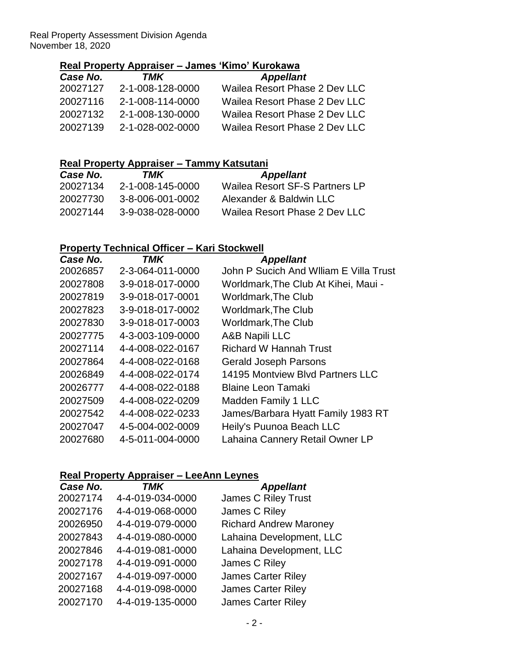Real Property Assessment Division Agenda November 18, 2020

## **Real Property Appraiser – James 'Kimo' Kurokawa**

| Case No. | TMK              | <b>Appellant</b>              |
|----------|------------------|-------------------------------|
| 20027127 | 2-1-008-128-0000 | Wailea Resort Phase 2 Dev LLC |
| 20027116 | 2-1-008-114-0000 | Wailea Resort Phase 2 Dev LLC |
| 20027132 | 2-1-008-130-0000 | Wailea Resort Phase 2 Dev LLC |
| 20027139 | 2-1-028-002-0000 | Wailea Resort Phase 2 Dev LLC |

### **Real Property Appraiser – Tammy Katsutani**

| <b>Case No.</b> | TMK              | <b>Appellant</b>               |
|-----------------|------------------|--------------------------------|
| 20027134        | 2-1-008-145-0000 | Wailea Resort SF-S Partners LP |
| 20027730        | 3-8-006-001-0002 | Alexander & Baldwin LLC        |
| 20027144        | 3-9-038-028-0000 | Wailea Resort Phase 2 Dev LLC  |

### **Property Technical Officer – Kari Stockwell**

| TMK              | <b>Appellant</b>                        |
|------------------|-----------------------------------------|
| 2-3-064-011-0000 | John P Sucich And William E Villa Trust |
| 3-9-018-017-0000 | Worldmark, The Club At Kihei, Maui -    |
| 3-9-018-017-0001 | <b>Worldmark, The Club</b>              |
| 3-9-018-017-0002 | <b>Worldmark, The Club</b>              |
| 3-9-018-017-0003 | <b>Worldmark, The Club</b>              |
| 4-3-003-109-0000 | A&B Napili LLC                          |
| 4-4-008-022-0167 | <b>Richard W Hannah Trust</b>           |
| 4-4-008-022-0168 | <b>Gerald Joseph Parsons</b>            |
| 4-4-008-022-0174 | 14195 Montview Blvd Partners LLC        |
| 4-4-008-022-0188 | <b>Blaine Leon Tamaki</b>               |
| 4-4-008-022-0209 | <b>Madden Family 1 LLC</b>              |
| 4-4-008-022-0233 | James/Barbara Hyatt Family 1983 RT      |
| 4-5-004-002-0009 | Heily's Puunoa Beach LLC                |
| 4-5-011-004-0000 | Lahaina Cannery Retail Owner LP         |
|                  |                                         |

### **Real Property Appraiser – LeeAnn Leynes**

| Case No. | TMK              | <b>Appellant</b>              |
|----------|------------------|-------------------------------|
| 20027174 | 4-4-019-034-0000 | <b>James C Riley Trust</b>    |
| 20027176 | 4-4-019-068-0000 | James C Riley                 |
| 20026950 | 4-4-019-079-0000 | <b>Richard Andrew Maroney</b> |
| 20027843 | 4-4-019-080-0000 | Lahaina Development, LLC      |
| 20027846 | 4-4-019-081-0000 | Lahaina Development, LLC      |
| 20027178 | 4-4-019-091-0000 | James C Riley                 |
| 20027167 | 4-4-019-097-0000 | <b>James Carter Riley</b>     |
| 20027168 | 4-4-019-098-0000 | <b>James Carter Riley</b>     |
| 20027170 | 4-4-019-135-0000 | <b>James Carter Riley</b>     |